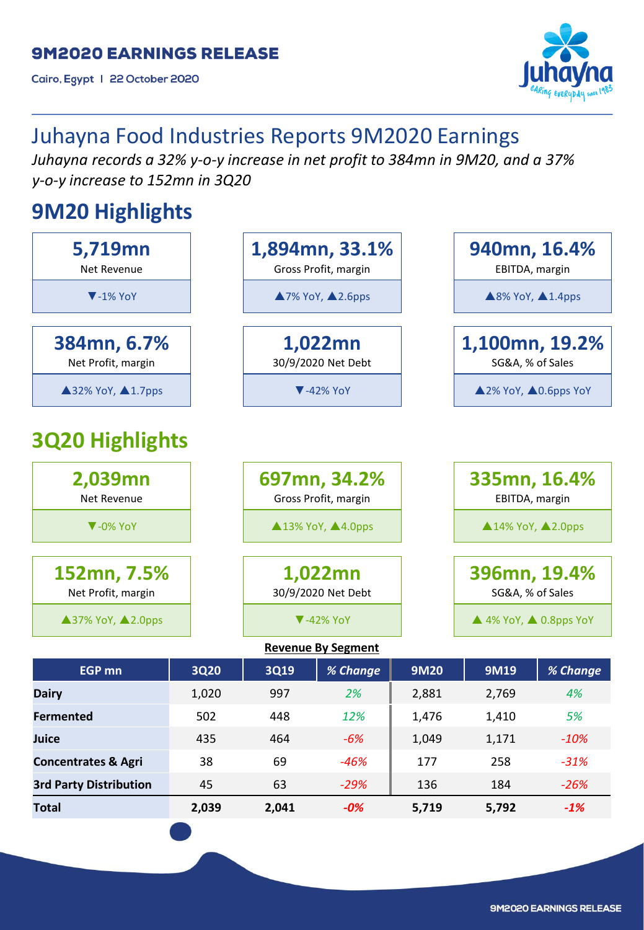Cairo, Egypt | 22 October 2020



# Juhayna Food Industries Reports 9M2020 Earnings

*Juhayna records a 32% y-o-y increase in net profit to 384mn in 9M20, and a 37% y-o-y increase to 152mn in 3Q20*

# **9M20 Highlights**

| 5,719mn<br>Net Revenue            |             |                                                              | 1,894mn, 33.1%<br>Gross Profit, margin                              |             | 940mn, 16.4%<br>EBITDA, margin             |          |
|-----------------------------------|-------------|--------------------------------------------------------------|---------------------------------------------------------------------|-------------|--------------------------------------------|----------|
| $\blacktriangledown$ -1% YoY      |             |                                                              | ▲7% YoY, ▲2.6pps                                                    |             | ▲8% YoY, ▲1.4pps                           |          |
| 384mn, 6.7%<br>Net Profit, margin |             |                                                              | 1,022mn<br>1,100mn, 19.2%<br>30/9/2020 Net Debt<br>SG&A, % of Sales |             |                                            |          |
| ▲32% YoY, ▲1.7pps                 |             | ▲2% YoY, ▲0.6pps YoY<br>$\blacktriangledown$ -42% YoY        |                                                                     |             |                                            |          |
| <b>3Q20 Highlights</b>            |             |                                                              |                                                                     |             |                                            |          |
| 2,039mn<br>Net Revenue            |             | 697mn, 34.2%<br>Gross Profit, margin                         |                                                                     |             | 335mn, 16.4%<br>EBITDA, margin             |          |
| $\nabla -0\%$ YoY                 |             | ▲13% YoY, ▲4.0pps<br>$\triangle$ 14% YoY, $\triangle$ 2.0pps |                                                                     |             |                                            |          |
| 152mn, 7.5%<br>Net Profit, margin |             | 1,022mn<br>30/9/2020 Net Debt                                |                                                                     |             | 396mn, 19.4%<br>SG&A, % of Sales           |          |
| ▲37% YoY, ▲2.0pps                 |             | $\blacktriangledown$ -42% YoY                                |                                                                     |             | $\triangle$ 4% YoY, $\triangle$ 0.8pps YoY |          |
|                                   |             |                                                              | <b>Revenue By Segment</b>                                           |             |                                            |          |
| <b>EGP mn</b>                     | <b>3Q20</b> | 3Q19                                                         | % Change                                                            | <b>9M20</b> | 9M19                                       | % Change |
| <b>Dairy</b>                      | 1,020       | 997                                                          | 2%                                                                  | 2,881       | 2,769                                      | 4%       |
| <b>Fermented</b>                  | 502         | 448                                                          | 12%                                                                 | 1,476       | 1,410                                      | 5%       |
| Juice                             | 435         | 464                                                          | $-6%$                                                               | 1,049       | 1,171                                      | $-10%$   |
| <b>Concentrates &amp; Agri</b>    | 38          | 69                                                           | $-46%$                                                              | 177         | 258                                        | $-31%$   |
| <b>3rd Party Distribution</b>     | 45          | 63                                                           | $-29%$                                                              | 136         | 184                                        | $-26%$   |
| <b>Total</b>                      | 2,039       | 2,041                                                        | $-0%$                                                               | 5,719       | 5,792                                      | $-1%$    |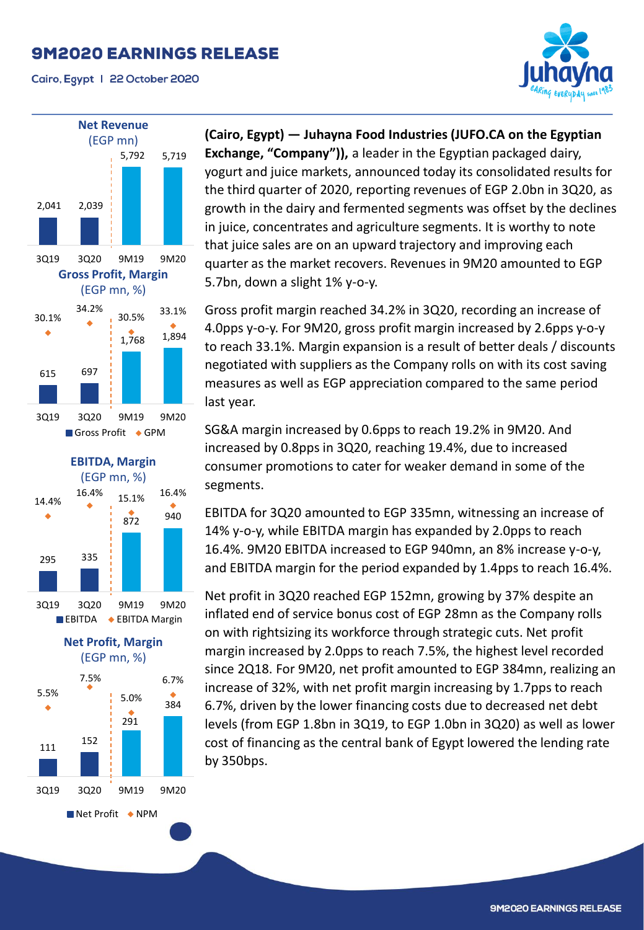Cairo, Egypt | 22 October 2020





 $\blacksquare$  Net Profit  $\blacklozenge$  NPM

**(Cairo, Egypt) — Juhayna Food Industries (JUFO.CA on the Egyptian Exchange, "Company")),** a leader in the Egyptian packaged dairy, yogurt and juice markets, announced today its consolidated results for the third quarter of 2020, reporting revenues of EGP 2.0bn in 3Q20, as growth in the dairy and fermented segments was offset by the declines in juice, concentrates and agriculture segments. It is worthy to note that juice sales are on an upward trajectory and improving each quarter as the market recovers. Revenues in 9M20 amounted to EGP 5.7bn, down a slight 1% y-o-y.

Gross profit margin reached 34.2% in 3Q20, recording an increase of 4.0pps y-o-y. For 9M20, gross profit margin increased by 2.6pps y-o-y to reach 33.1%. Margin expansion is a result of better deals / discounts negotiated with suppliers as the Company rolls on with its cost saving measures as well as EGP appreciation compared to the same period last year.

SG&A margin increased by 0.6pps to reach 19.2% in 9M20. And increased by 0.8pps in 3Q20, reaching 19.4%, due to increased consumer promotions to cater for weaker demand in some of the segments.

EBITDA for 3Q20 amounted to EGP 335mn, witnessing an increase of 14% y-o-y, while EBITDA margin has expanded by 2.0pps to reach 16.4%. 9M20 EBITDA increased to EGP 940mn, an 8% increase y-o-y, and EBITDA margin for the period expanded by 1.4pps to reach 16.4%.

Net profit in 3Q20 reached EGP 152mn, growing by 37% despite an inflated end of service bonus cost of EGP 28mn as the Company rolls on with rightsizing its workforce through strategic cuts. Net profit margin increased by 2.0pps to reach 7.5%, the highest level recorded since 2Q18. For 9M20, net profit amounted to EGP 384mn, realizing an increase of 32%, with net profit margin increasing by 1.7pps to reach 6.7%, driven by the lower financing costs due to decreased net debt levels (from EGP 1.8bn in 3Q19, to EGP 1.0bn in 3Q20) as well as lower cost of financing as the central bank of Egypt lowered the lending rate by 350bps.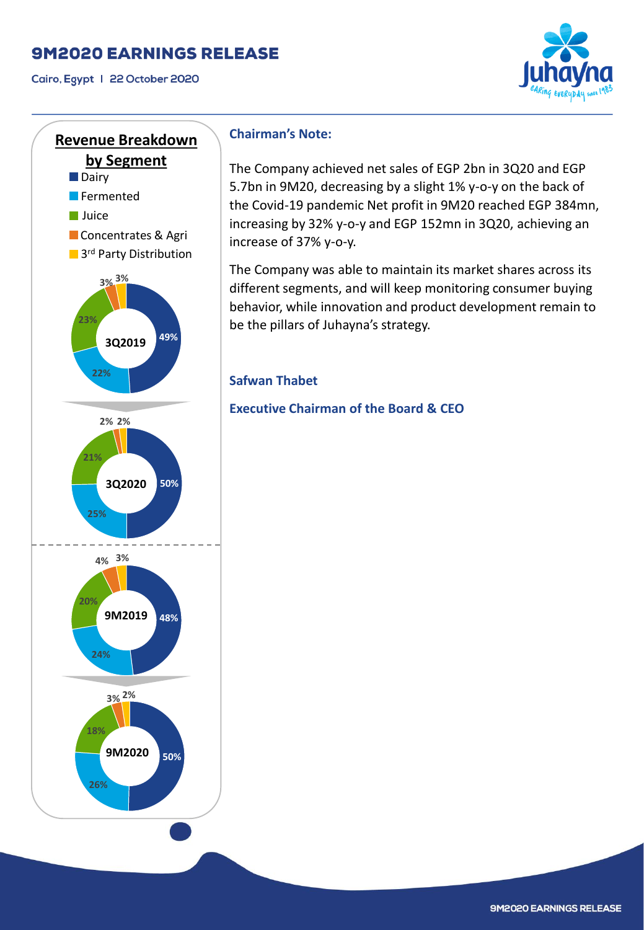Cairo, Egypt | 22 October 2020





#### **Chairman's Note:**

The Company achieved net sales of EGP 2bn in 3Q20 and EGP 5.7bn in 9M20, decreasing by a slight 1% y-o-y on the back of the Covid-19 pandemic Net profit in 9M20 reached EGP 384mn, increasing by 32% y-o-y and EGP 152mn in 3Q20, achieving an increase of 37% y-o-y.

The Company was able to maintain its market shares across its different segments, and will keep monitoring consumer buying behavior, while innovation and product development remain to be the pillars of Juhayna's strategy.

#### **Safwan Thabet**

**Executive Chairman of the Board & CEO**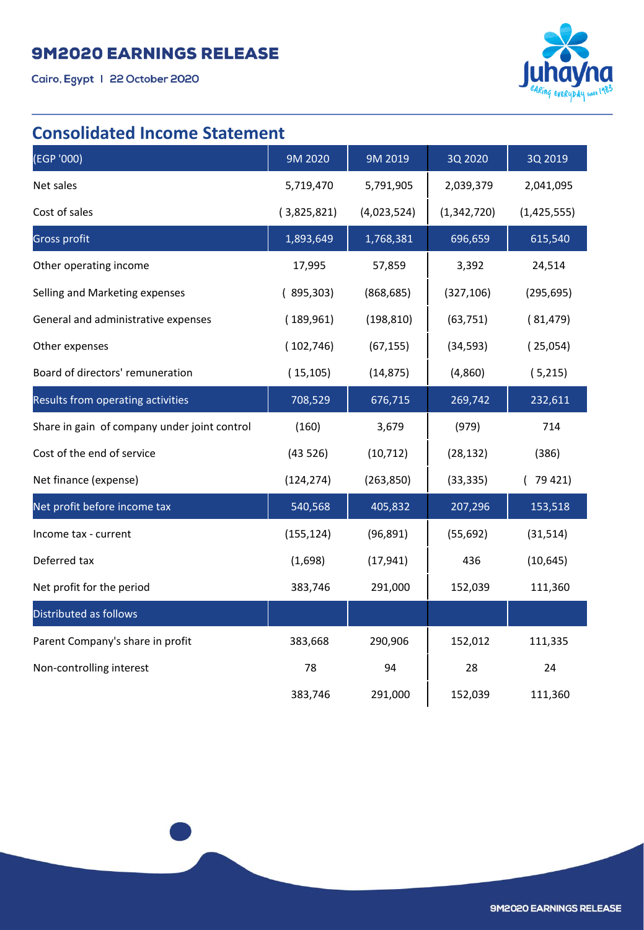Cairo, Egypt | 22 October 2020



## **Consolidated Income Statement**

| (EGP '000)                                   | 9M 2020     | 9M 2019     | 3Q 2020     | 3Q 2019     |
|----------------------------------------------|-------------|-------------|-------------|-------------|
| Net sales                                    | 5,719,470   | 5,791,905   | 2,039,379   | 2,041,095   |
| Cost of sales                                | (3,825,821) | (4,023,524) | (1,342,720) | (1,425,555) |
| <b>Gross profit</b>                          | 1,893,649   | 1,768,381   | 696,659     | 615,540     |
| Other operating income                       | 17,995      | 57,859      | 3,392       | 24,514      |
| Selling and Marketing expenses               | (895,303)   | (868, 685)  | (327, 106)  | (295, 695)  |
| General and administrative expenses          | (189,961)   | (198, 810)  | (63, 751)   | (81, 479)   |
| Other expenses                               | (102, 746)  | (67, 155)   | (34, 593)   | (25,054)    |
| Board of directors' remuneration             | (15, 105)   | (14, 875)   | (4,860)     | (5,215)     |
| Results from operating activities            | 708,529     | 676,715     | 269,742     | 232,611     |
| Share in gain of company under joint control | (160)       | 3,679       | (979)       | 714         |
| Cost of the end of service                   | (43526)     | (10, 712)   | (28, 132)   | (386)       |
| Net finance (expense)                        | (124, 274)  | (263, 850)  | (33, 335)   | 79 421)     |
| Net profit before income tax                 | 540,568     | 405,832     | 207,296     | 153,518     |
| Income tax - current                         | (155, 124)  | (96, 891)   | (55, 692)   | (31, 514)   |
| Deferred tax                                 | (1,698)     | (17, 941)   | 436         | (10, 645)   |
| Net profit for the period                    | 383,746     | 291,000     | 152,039     | 111,360     |
| Distributed as follows                       |             |             |             |             |
| Parent Company's share in profit             | 383,668     | 290,906     | 152,012     | 111,335     |
| Non-controlling interest                     | 78          | 94          | 28          | 24          |
|                                              | 383,746     | 291,000     | 152,039     | 111,360     |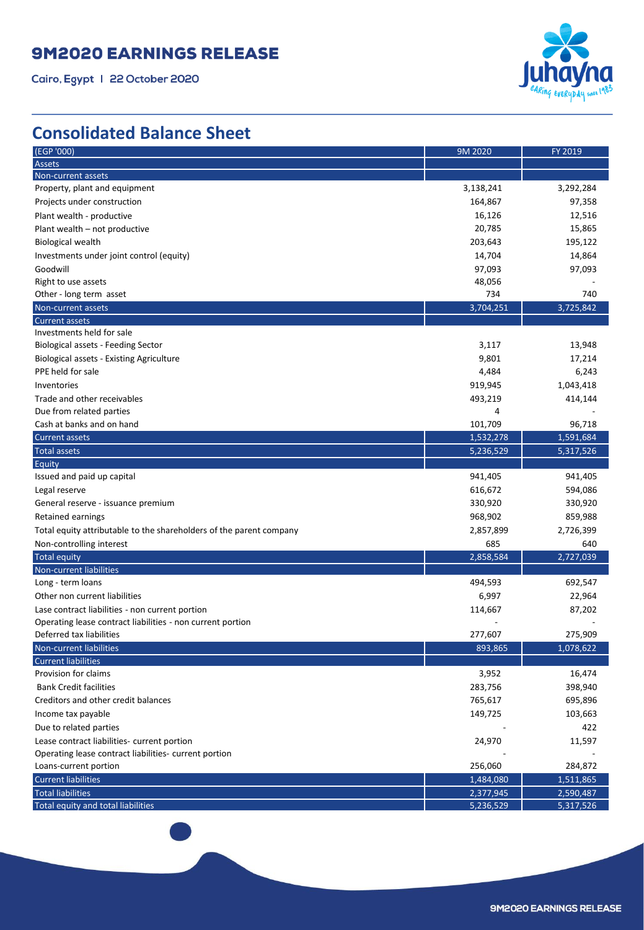Cairo, Egypt | 22 October 2020



## **Consolidated Balance Sheet**

| (EGP '000)                                                          | 9M 2020   | FY 2019   |
|---------------------------------------------------------------------|-----------|-----------|
| Assets                                                              |           |           |
| Non-current assets                                                  |           |           |
| Property, plant and equipment                                       | 3,138,241 | 3,292,284 |
| Projects under construction                                         | 164,867   | 97,358    |
| Plant wealth - productive                                           | 16,126    | 12,516    |
| Plant wealth – not productive                                       | 20,785    | 15,865    |
| <b>Biological wealth</b>                                            | 203,643   | 195,122   |
| Investments under joint control (equity)                            | 14,704    | 14,864    |
| Goodwill                                                            | 97,093    | 97,093    |
| Right to use assets                                                 | 48,056    |           |
| Other - long term asset                                             | 734       | 740       |
| Non-current assets                                                  | 3,704,251 | 3,725,842 |
| <b>Current assets</b>                                               |           |           |
| Investments held for sale                                           |           |           |
| Biological assets - Feeding Sector                                  | 3,117     | 13,948    |
| <b>Biological assets - Existing Agriculture</b>                     | 9,801     | 17,214    |
| PPE held for sale                                                   | 4,484     | 6,243     |
| Inventories                                                         | 919,945   | 1,043,418 |
| Trade and other receivables                                         | 493,219   | 414,144   |
| Due from related parties                                            | 4         |           |
| Cash at banks and on hand                                           | 101,709   | 96,718    |
| <b>Current assets</b>                                               | 1,532,278 | 1,591,684 |
| <b>Total assets</b>                                                 | 5,236,529 | 5,317,526 |
| <b>Equity</b>                                                       |           |           |
| Issued and paid up capital                                          | 941,405   | 941,405   |
| Legal reserve                                                       | 616,672   | 594,086   |
| General reserve - issuance premium                                  | 330,920   | 330,920   |
| Retained earnings                                                   | 968,902   | 859,988   |
| Total equity attributable to the shareholders of the parent company | 2,857,899 | 2,726,399 |
| Non-controlling interest                                            | 685       | 640       |
| <b>Total equity</b>                                                 | 2,858,584 | 2,727,039 |
| Non-current liabilities                                             |           |           |
| Long - term loans                                                   | 494,593   | 692,547   |
| Other non current liabilities                                       | 6,997     | 22,964    |
| Lase contract liabilities - non current portion                     | 114,667   | 87,202    |
| Operating lease contract liabilities - non current portion          |           |           |
| Deferred tax liabilities                                            | 277,607   | 275,909   |
| Non-current liabilities                                             | 893,865   | 1,078,622 |
| <b>Current liabilities</b>                                          |           |           |
| Provision for claims                                                | 3,952     | 16,474    |
| <b>Bank Credit facilities</b>                                       | 283,756   | 398,940   |
| Creditors and other credit balances                                 | 765,617   | 695,896   |
| Income tax payable                                                  | 149,725   | 103,663   |
| Due to related parties                                              |           | 422       |
| Lease contract liabilities- current portion                         | 24,970    | 11,597    |
| Operating lease contract liabilities- current portion               |           |           |
| Loans-current portion                                               | 256,060   | 284,872   |
| <b>Current liabilities</b>                                          | 1,484,080 | 1,511,865 |
| <b>Total liabilities</b>                                            | 2,377,945 | 2,590,487 |
| Total equity and total liabilities                                  | 5,236,529 | 5,317,526 |
|                                                                     |           |           |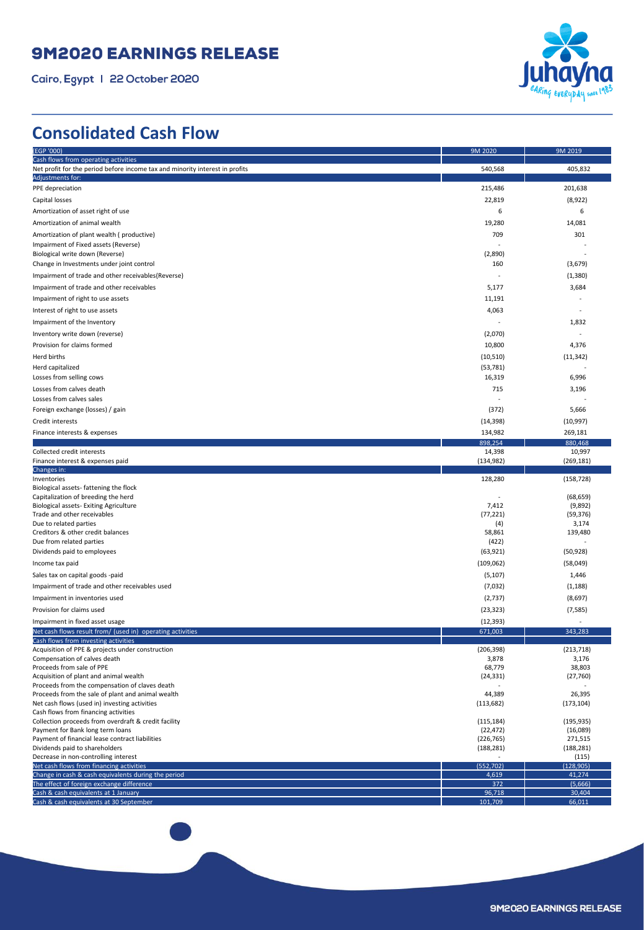Cairo, Egypt | 22 October 2020



## **Consolidated Cash Flow**

| (EGP '000)                                                                                          | 9M 2020                  | 9M 2019               |
|-----------------------------------------------------------------------------------------------------|--------------------------|-----------------------|
| Cash flows from operating activities                                                                |                          |                       |
| Net profit for the period before income tax and minority interest in profits                        | 540,568                  | 405,832               |
| Adjustments for:                                                                                    |                          |                       |
| PPE depreciation                                                                                    | 215,486                  | 201,638               |
| Capital losses                                                                                      | 22,819                   | (8,922)               |
| Amortization of asset right of use                                                                  | 6                        | 6                     |
| Amortization of animal wealth                                                                       | 19,280                   | 14,081                |
| Amortization of plant wealth (productive)                                                           | 709                      | 301                   |
| Impairment of Fixed assets (Reverse)                                                                |                          |                       |
| Biological write down (Reverse)                                                                     | (2,890)                  |                       |
| Change in Investments under joint control                                                           | 160                      | (3,679)               |
| Impairment of trade and other receivables (Reverse)                                                 |                          | (1, 380)              |
| Impairment of trade and other receivables                                                           | 5,177                    | 3,684                 |
| Impairment of right to use assets                                                                   | 11,191                   |                       |
| Interest of right to use assets                                                                     | 4,063                    |                       |
| Impairment of the Inventory                                                                         |                          | 1,832                 |
| Inventory write down (reverse)                                                                      | (2,070)                  |                       |
| Provision for claims formed                                                                         | 10,800                   | 4,376                 |
| Herd births                                                                                         | (10, 510)                | (11, 342)             |
| Herd capitalized                                                                                    | (53, 781)                |                       |
| Losses from selling cows                                                                            | 16,319                   | 6,996                 |
| Losses from calves death                                                                            | 715                      | 3,196                 |
| Losses from calves sales                                                                            |                          |                       |
| Foreign exchange (losses) / gain                                                                    | (372)                    | 5,666                 |
| Credit interests                                                                                    | (14, 398)                | (10, 997)             |
| Finance interests & expenses                                                                        | 134,982                  | 269,181               |
|                                                                                                     | 898,254                  | 880.468               |
| Collected credit interests<br>Finance interest & expenses paid                                      | 14,398<br>(134, 982)     | 10,997<br>(269, 181)  |
| Changes in:                                                                                         |                          |                       |
| Inventories                                                                                         | 128,280                  | (158, 728)            |
| Biological assets-fattening the flock                                                               |                          |                       |
| Capitalization of breeding the herd<br>Biological assets- Exiting Agriculture                       | 7,412                    | (68, 659)<br>(9,892)  |
| Trade and other receivables                                                                         | (77, 221)                | (59, 376)             |
| Due to related parties                                                                              | (4)                      | 3,174                 |
| Creditors & other credit balances                                                                   | 58,861                   | 139,480               |
| Due from related parties                                                                            | (422)                    |                       |
| Dividends paid to employees                                                                         | (63, 921)                | (50, 928)             |
| Income tax paid                                                                                     | (109, 062)               | (58,049)              |
| Sales tax on capital goods -paid                                                                    | (5, 107)                 | 1,446                 |
| Impairment of trade and other receivables used                                                      | (7,032)                  | (1, 188)              |
| Impairment in inventories used                                                                      | (2, 737)                 | (8,697)               |
| Provision for claims used                                                                           | (23, 323)                | (7, 585)              |
| Impairment in fixed asset usage                                                                     | (12, 393)                | ٠                     |
| Net cash flows result from/ (used in) operating activities                                          | 671,003                  | 343,283               |
| Cash flows from investing activities<br>Acquisition of PPE & projects under construction            | (206, 398)               | (213, 718)            |
| Compensation of calves death                                                                        | 3,878                    | 3,176                 |
| Proceeds from sale of PPE                                                                           | 68,779                   | 38,803                |
| Acquisition of plant and animal wealth                                                              | (24, 331)                | (27, 760)             |
| Proceeds from the compensation of claves death<br>Proceeds from the sale of plant and animal wealth | 44,389                   | 26,395                |
| Net cash flows (used in) investing activities                                                       | (113, 682)               | (173, 104)            |
| Cash flows from financing activities                                                                |                          |                       |
| Collection proceeds from overdraft & credit facility                                                | (115, 184)               | (195, 935)            |
| Payment for Bank long term loans                                                                    | (22, 472)                | (16,089)              |
| Payment of financial lease contract liabilities<br>Dividends paid to shareholders                   | (226, 765)<br>(188, 281) | 271,515<br>(188, 281) |
| Decrease in non-controlling interest                                                                | ٠                        | (115)                 |
| Net cash flows from financing activities                                                            | (552, 702)               | (128, 905)            |
| Change in cash & cash equivalents during the period                                                 | 4,619                    | 41,274                |
| The effect of foreign exchange difference                                                           | 372                      | (5,666)               |
| Cash & cash equivalents at 1 January<br>Cash & cash equivalents at 30 September                     | 96,718<br>101,709        | 30,404<br>66,011      |
|                                                                                                     |                          |                       |